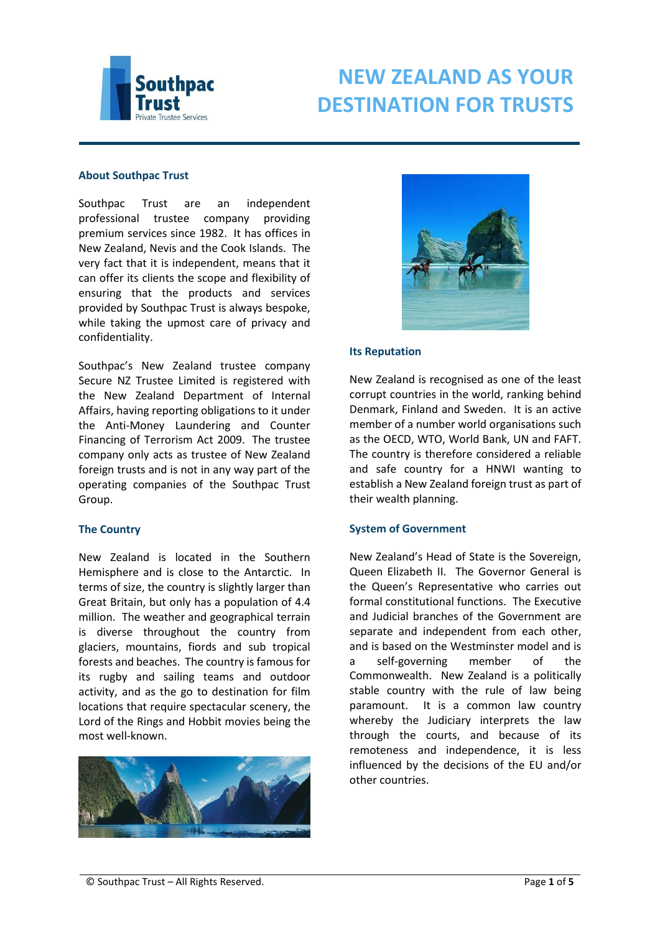

# **About Southpac Trust**

Southpac Trust are an independent professional trustee company providing premium services since 1982. It has offices in New Zealand, Nevis and the Cook Islands. The very fact that it is independent, means that it can offer its clients the scope and flexibility of ensuring that the products and services provided by Southpac Trust is always bespoke, while taking the upmost care of privacy and confidentiality.

Southpac's New Zealand trustee company Secure NZ Trustee Limited is registered with the New Zealand Department of Internal Affairs, having reporting obligations to it under the Anti-Money Laundering and Counter Financing of Terrorism Act 2009. The trustee company only acts as trustee of New Zealand foreign trusts and is not in any way part of the operating companies of the Southpac Trust Group.

# **The Country**

New Zealand is located in the Southern Hemisphere and is close to the Antarctic. In terms of size, the country is slightly larger than Great Britain, but only has a population of 4.4 million. The weather and geographical terrain is diverse throughout the country from glaciers, mountains, fiords and sub tropical forests and beaches. The country is famous for its rugby and sailing teams and outdoor activity, and as the go to destination for film locations that require spectacular scenery, the Lord of the Rings and Hobbit movies being the most well-known.





#### **Its Reputation**

New Zealand is recognised as one of the least corrupt countries in the world, ranking behind Denmark, Finland and Sweden. It is an active member of a number world organisations such as the OECD, WTO, World Bank, UN and FAFT. The country is therefore considered a reliable and safe country for a HNWI wanting to establish a New Zealand foreign trust as part of their wealth planning.

# **System of Government**

New Zealand's Head of State is the Sovereign, Queen Elizabeth II. The Governor General is the Queen's Representative who carries out formal constitutional functions. The Executive and Judicial branches of the Government are separate and independent from each other, and is based on the Westminster model and is a self-governing member of the Commonwealth. New Zealand is a politically stable country with the rule of law being paramount. It is a common law country whereby the Judiciary interprets the law through the courts, and because of its remoteness and independence, it is less influenced by the decisions of the EU and/or other countries.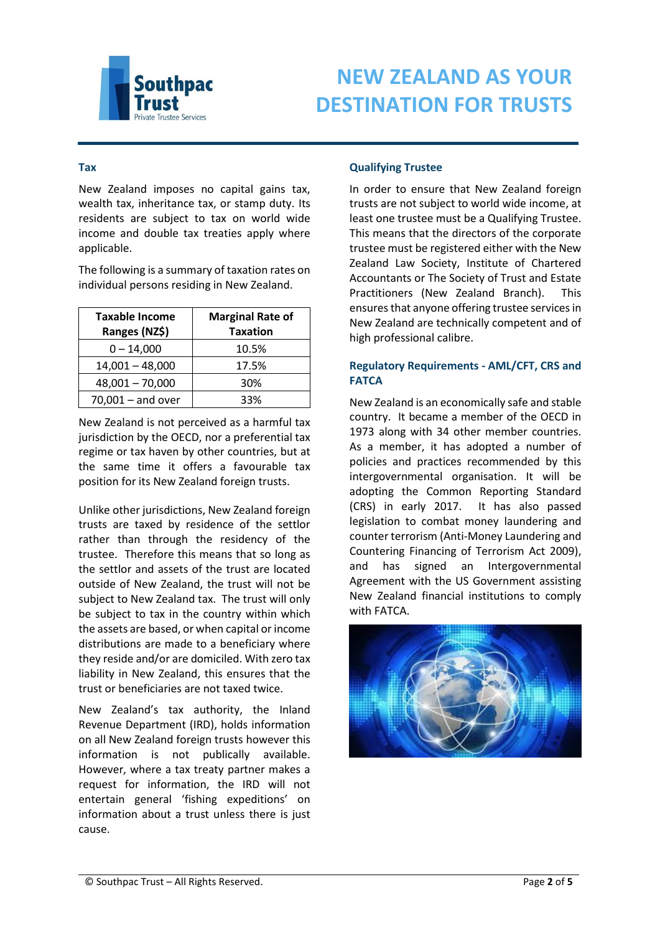

# **Tax**

New Zealand imposes no capital gains tax, wealth tax, inheritance tax, or stamp duty. Its residents are subject to tax on world wide income and double tax treaties apply where applicable.

The following is a summary of taxation rates on individual persons residing in New Zealand.

| <b>Taxable Income</b><br>Ranges (NZ\$) | <b>Marginal Rate of</b><br><b>Taxation</b> |
|----------------------------------------|--------------------------------------------|
| $0 - 14,000$                           | 10.5%                                      |
| $14,001 - 48,000$                      | 17.5%                                      |
| $48,001 - 70,000$                      | 30%                                        |
| $70,001 -$ and over                    | 33%                                        |

New Zealand is not perceived as a harmful tax jurisdiction by the OECD, nor a preferential tax regime or tax haven by other countries, but at the same time it offers a favourable tax position for its New Zealand foreign trusts.

Unlike other jurisdictions, New Zealand foreign trusts are taxed by residence of the settlor rather than through the residency of the trustee. Therefore this means that so long as the settlor and assets of the trust are located outside of New Zealand, the trust will not be subject to New Zealand tax. The trust will only be subject to tax in the country within which the assets are based, or when capital or income distributions are made to a beneficiary where they reside and/or are domiciled. With zero tax liability in New Zealand, this ensures that the trust or beneficiaries are not taxed twice.

New Zealand's tax authority, the Inland Revenue Department (IRD), holds information on all New Zealand foreign trusts however this information is not publically available. However, where a tax treaty partner makes a request for information, the IRD will not entertain general 'fishing expeditions' on information about a trust unless there is just cause.

# **Qualifying Trustee**

In order to ensure that New Zealand foreign trusts are not subject to world wide income, at least one trustee must be a Qualifying Trustee. This means that the directors of the corporate trustee must be registered either with the New Zealand Law Society, Institute of Chartered Accountants or The Society of Trust and Estate Practitioners (New Zealand Branch). This ensures that anyone offering trustee services in New Zealand are technically competent and of high professional calibre.

# **Regulatory Requirements - AML/CFT, CRS and FATCA**

New Zealand is an economically safe and stable country. It became a member of the OECD in 1973 along with 34 other member countries. As a member, it has adopted a number of policies and practices recommended by this intergovernmental organisation. It will be adopting the Common Reporting Standard (CRS) in early 2017. It has also passed legislation to combat money laundering and counter terrorism (Anti-Money Laundering and Countering Financing of Terrorism Act 2009), and has signed an Intergovernmental Agreement with the US Government assisting New Zealand financial institutions to comply with FATCA.

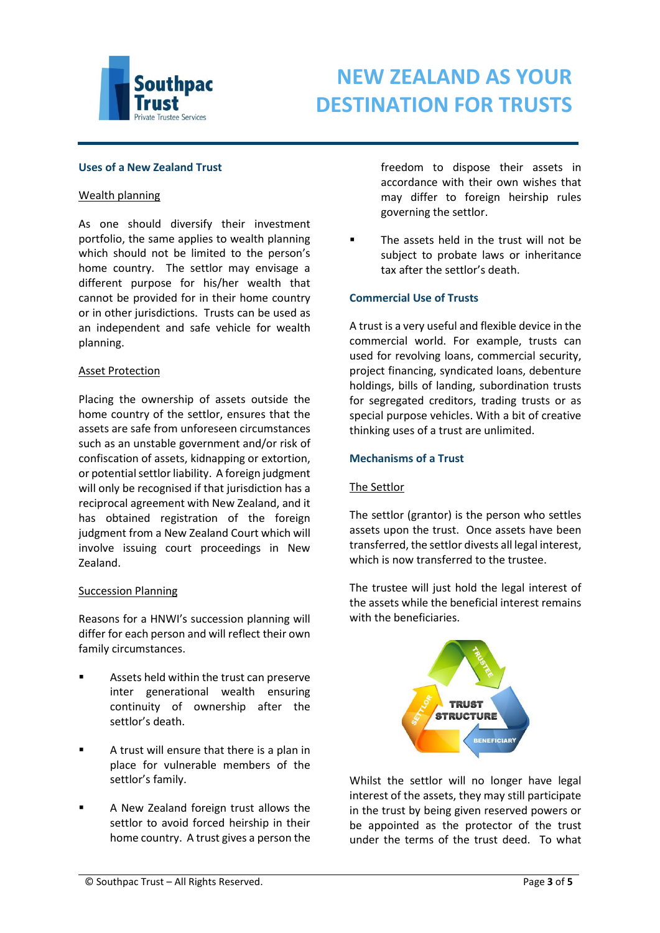

# **Uses of a New Zealand Trust**

#### Wealth planning

As one should diversify their investment portfolio, the same applies to wealth planning which should not be limited to the person's home country. The settlor may envisage a different purpose for his/her wealth that cannot be provided for in their home country or in other jurisdictions. Trusts can be used as an independent and safe vehicle for wealth planning.

#### Asset Protection

Placing the ownership of assets outside the home country of the settlor, ensures that the assets are safe from unforeseen circumstances such as an unstable government and/or risk of confiscation of assets, kidnapping or extortion, or potential settlor liability. A foreign judgment will only be recognised if that jurisdiction has a reciprocal agreement with New Zealand, and it has obtained registration of the foreign judgment from a New Zealand Court which will involve issuing court proceedings in New Zealand.

# Succession Planning

Reasons for a HNWI's succession planning will differ for each person and will reflect their own family circumstances.

- Assets held within the trust can preserve inter generational wealth ensuring continuity of ownership after the settlor's death.
- A trust will ensure that there is a plan in place for vulnerable members of the settlor's family.
- A New Zealand foreign trust allows the settlor to avoid forced heirship in their home country. A trust gives a person the

freedom to dispose their assets in accordance with their own wishes that may differ to foreign heirship rules governing the settlor.

 The assets held in the trust will not be subject to probate laws or inheritance tax after the settlor's death.

# **Commercial Use of Trusts**

A trust is a very useful and flexible device in the commercial world. For example, trusts can used for revolving loans, commercial security, project financing, syndicated loans, debenture holdings, bills of landing, subordination trusts for segregated creditors, trading trusts or as special purpose vehicles. With a bit of creative thinking uses of a trust are unlimited.

# **Mechanisms of a Trust**

#### The Settlor

The settlor (grantor) is the person who settles assets upon the trust. Once assets have been transferred, the settlor divests all legal interest, which is now transferred to the trustee.

The trustee will just hold the legal interest of the assets while the beneficial interest remains with the beneficiaries.



Whilst the settlor will no longer have legal interest of the assets, they may still participate in the trust by being given reserved powers or be appointed as the protector of the trust under the terms of the trust deed. To what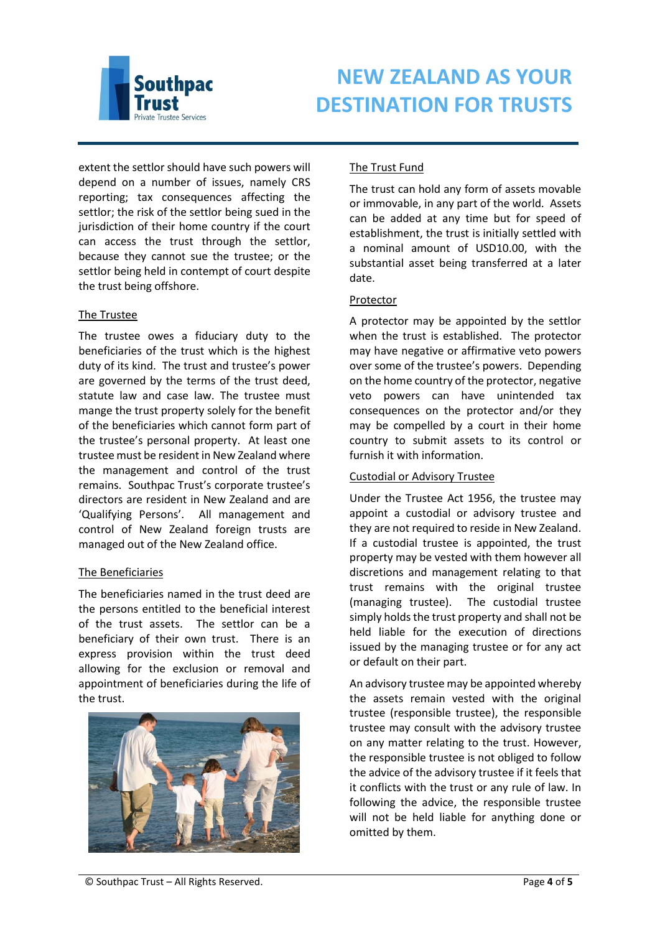

extent the settlor should have such powers will depend on a number of issues, namely CRS reporting; tax consequences affecting the settlor; the risk of the settlor being sued in the jurisdiction of their home country if the court can access the trust through the settlor, because they cannot sue the trustee; or the settlor being held in contempt of court despite the trust being offshore.

# The Trustee

The trustee owes a fiduciary duty to the beneficiaries of the trust which is the highest duty of its kind. The trust and trustee's power are governed by the terms of the trust deed, statute law and case law. The trustee must mange the trust property solely for the benefit of the beneficiaries which cannot form part of the trustee's personal property. At least one trustee must be resident in New Zealand where the management and control of the trust remains. Southpac Trust's corporate trustee's directors are resident in New Zealand and are 'Qualifying Persons'. All management and control of New Zealand foreign trusts are managed out of the New Zealand office.

# The Beneficiaries

The beneficiaries named in the trust deed are the persons entitled to the beneficial interest of the trust assets. The settlor can be a beneficiary of their own trust. There is an express provision within the trust deed allowing for the exclusion or removal and appointment of beneficiaries during the life of the trust.



# The Trust Fund

The trust can hold any form of assets movable or immovable, in any part of the world. Assets can be added at any time but for speed of establishment, the trust is initially settled with a nominal amount of USD10.00, with the substantial asset being transferred at a later date.

# Protector

A protector may be appointed by the settlor when the trust is established. The protector may have negative or affirmative veto powers over some of the trustee's powers. Depending on the home country of the protector, negative veto powers can have unintended tax consequences on the protector and/or they may be compelled by a court in their home country to submit assets to its control or furnish it with information.

# Custodial or Advisory Trustee

Under the Trustee Act 1956, the trustee may appoint a custodial or advisory trustee and they are not required to reside in New Zealand. If a custodial trustee is appointed, the trust property may be vested with them however all discretions and management relating to that trust remains with the original trustee (managing trustee). The custodial trustee simply holds the trust property and shall not be held liable for the execution of directions issued by the managing trustee or for any act or default on their part.

An advisory trustee may be appointed whereby the assets remain vested with the original trustee (responsible trustee), the responsible trustee may consult with the advisory trustee on any matter relating to the trust. However, the responsible trustee is not obliged to follow the advice of the advisory trustee if it feels that it conflicts with the trust or any rule of law. In following the advice, the responsible trustee will not be held liable for anything done or omitted by them.